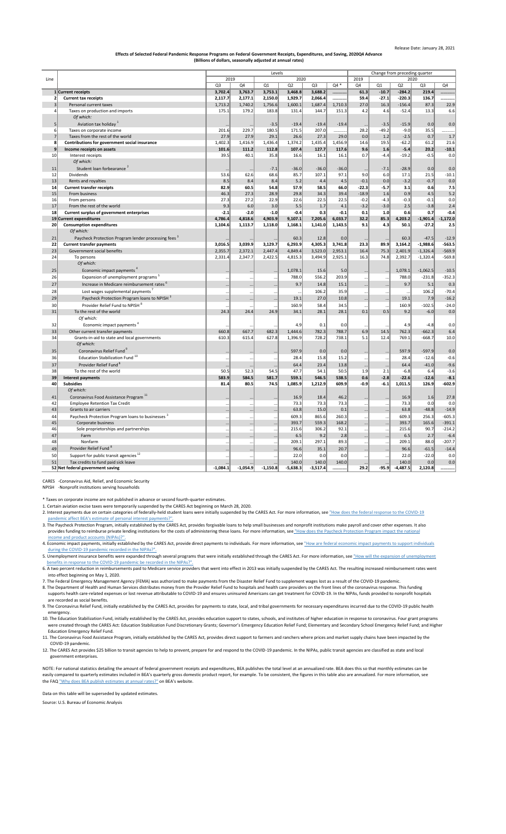- 2. Interest payments due on certain categories of federally-held student loans were initially suspended by the CARES Act. For more information, see "How does the federal response to the COVID-19  [pandemic affect BEA's estimate of personal interest payments?".](https://www.bea.gov/help/faq/1407)
- 3. The Paycheck Protection Program, initially established by the CARES Act, provides forgivable loans to help small businesses and nonprofit institutions make payroll and cover other expenses. It also provides funding to reimburse private lending institutions for the costs of administering these loans. For more information, see ["How does the Paycheck Protection Program impact the national](https://www.bea.gov/help/faq/1408)  [income and product accounts \(NIPAs\)?".](https://www.bea.gov/help/faq/1408)
- 4. Economic impact payments, initially established by the CARES Act, provide direct payments to individuals. For more information, see "How are federal economic impact payments to support individuals  [during the COVID-19 pandemic recorded in the NIPAs?".](https://www.bea.gov/help/faq/1409)
- 5. Unemployment insurance benefits were expanded through several programs that were initially established through the CARES Act. For more information, see "How will the expansion of unemployment  [benefits in response to the COVID-19 pandemic be recorded in the NIPAs?".](https://www.bea.gov/help/faq/1415)
- 6. A two percent reduction in reimbursements paid to Medicare service providers that went into effect in 2013 was initially suspended by the CARES Act. The resulting increased reimbursement rates went into effect beginning on May 1, 2020.
- 7. The Federal Emergency Management Agency (FEMA) was authorized to make payments from the Disaster Relief Fund to supplement wages lost as a result of the COVID-19 pandemic.
- 8. The Department of Health and Human Services distributes money from the Provider Relief Fund to hospitals and health care providers on the front lines of the coronavirus response. This funding supports health care-related expenses or lost revenue attributable to COVID-19 and ensures uninsured Americans can get treatment for COVID-19. In the NIPAs, funds provided to nonprofit hospitals are recorded as social benefits.
- 9. The Coronavirus Relief Fund, initially established by the CARES Act, provides for payments to state, local, and tribal governments for necessary expenditures incurred due to the COVID-19 public health emergency.
- 10. The Education Stabilization Fund, initially established by the CARES Act, provides education support to states, schools, and institutes of higher education in response to coronavirus. Four grant programs were created through the CARES Act: Education Stabilization Fund Discretionary Grants; Governor's Emergency Education Relief Fund; Elementary and Secondary School Emergency Relief Fund; and Higher Education Emergency Relief Fund.
- 11. The Coronavirus Food Assistance Program, initially established by the CARES Act, provides direct support to farmers and ranchers where prices and market supply chains have been impacted by the COVID-19 pandemic.
- 12. The CARES Act provides \$25 billion to transit agencies to help to prevent, prepare for and respond to the COVID-19 pandemic. In the NIPAs, public transit agencies are classified as state and local government enterprises.

NOTE: For national statistics detailing the amount of federal government receipts and expenditures, BEA publishes the total level at an annualized rate. BEA does this so that monthly estimates can be easily compared to quarterly estimates included in BEA's quarterly gross domestic product report, for example. To be consistent, the figures in this table also are annualized. For more information, see [the FAQ "Why does BEA publish estimates at annual rates?" on BEA's website.](https://www.bea.gov/help/faq/121)

|                 |                                                                 | Levels         |            |            |            |                |              |          | Change from preceding quarter |            |                |            |  |  |
|-----------------|-----------------------------------------------------------------|----------------|------------|------------|------------|----------------|--------------|----------|-------------------------------|------------|----------------|------------|--|--|
| Line            |                                                                 | 2019<br>2020   |            |            |            |                | 2019<br>2020 |          |                               |            |                |            |  |  |
|                 |                                                                 | Q <sub>3</sub> | Q4         | Q1         | Q2         | Q <sub>3</sub> | Q4 *         | Q4       | Q1                            | Q2         | Q <sub>3</sub> | Q4         |  |  |
|                 | 1 Current receipts                                              | 3,702.4        | 3,763.7    | 3,753.1    | 3,468.8    | 3,688.2        |              | 61.3     | $-10.7$                       | $-284.2$   | 219.4          |            |  |  |
|                 | <b>Current tax receipts</b>                                     | 2,117.7        | 2,177.1    | 2,150.0    | 1,929.7    | 2,066.4        |              | 59.4     | $-27.1$                       | $-220.3$   | 136.7          | .          |  |  |
| 3               | Personal current taxes                                          | 1,713.2        | 1,740.2    | 1,756.6    | 1,600.1    | 1,687.4        | 1,710.3      | 27.0     | 16.3                          | $-156.4$   | 87.3           | 22.9       |  |  |
| 4               | Taxes on production and imports                                 | 175.1          | 179.2      | 183.8      | 131.4      | 144.7          | 151.3        | 4.2      | 4.6                           | $-52.4$    | 13.3           | 6.6        |  |  |
|                 | Of which:                                                       |                |            |            |            |                |              |          |                               |            |                |            |  |  |
| 5 <sup>2</sup>  | Aviation tax holiday <sup>1</sup>                               | $\cdots$       | $\cdots$   | $-3.5$     | $-19.4$    | $-19.4$        | $-19.4$      | $\cdots$ | $-3.5$                        | $-15.9$    | 0.0            | 0.0        |  |  |
| 6               | Taxes on corporate income                                       | 201.6          | 229.7      | 180.5      | 171.5      | 207.0          | .            | 28.2     | $-49.2$                       | $-9.0$     | 35.5           | .          |  |  |
| $\overline{7}$  | Taxes from the rest of the world                                | 27.9           | 27.9       | 29.1       | 26.6       | 27.3           | 29.0         | 0.0      | 1.2                           | $-2.5$     | 0.7            | 1.7        |  |  |
| 8               | Contributions for government social insurance                   | 1,402.3        | 1,416.9    | 1,436.4    | 1,374.2    | 1,435.4        | 1,456.9      | 14.6     | 19.5                          | $-62.2$    | 61.2           | 21.6       |  |  |
| 9               | Income receipts on assets                                       | 101.6          | 111.2      | 112.8      | 107.4      | 127.7          | 117.6        | 9.6      | 1.6                           | $-5.4$     | 20.2           | $-10.1$    |  |  |
| 10              | Interest receipts                                               | 39.5           | 40.1       | 35.8       | 16.6       | 16.1           | 16.1         | 0.7      | $-4.4$                        | $-19.2$    | $-0.5$         | 0.0        |  |  |
|                 | Of which:                                                       |                |            |            |            |                |              |          |                               |            |                |            |  |  |
| 11              | Student loan forbearance <sup>2</sup>                           | $\cdots$       | $\cdots$   | $-7.1$     | $-36.0$    | $-36.0$        | $-36.0$      | $\cdots$ | $-7.1$                        | $-28.9$    | 0.0            | 0.0        |  |  |
| 12              | <b>Dividends</b>                                                | 53.6           | 62.6       | 68.6       | 85.7       | 107.1          | 97.1         | 9.0      | 6.0                           | 17.1       | 21.5           | $-10.1$    |  |  |
| 13              | Rents and royalties                                             | 8.5            | 8.4        | 8.4        | 5.2        | 4.4            | 4.5          | $-0.1$   | 0.0                           | $-3.2$     | $-0.7$         | 0.0        |  |  |
| 14              | <b>Current transfer receipts</b>                                | 82.9           | 60.5       | 54.8       | 57.9       | 58.5           | 66.0         | $-22.3$  | $-5.7$                        | 3.1        | 0.6            | 7.5        |  |  |
| 15              | From business                                                   | 46.3           | 27.3       | 28.9       | 29.8       | 34.3           | 39.4         | $-18.9$  | 1.6                           | 0.9        | 4.5            | 5.2        |  |  |
| 16              | From persons                                                    | 27.3           | 27.2       | 22.9       | 22.6       | 22.5           | 22.5         | $-0.2$   | $-4.3$                        | $-0.3$     | $-0.1$         | 0.0        |  |  |
| 17              | From the rest of the world                                      | 9.3            | 6.0        | 3.0        | 5.5        | 1.7            | 4.1          | $-3.2$   | $-3.0$                        | 2.5        | $-3.8$         | 2.4        |  |  |
| 18              | <b>Current surplus of government enterprises</b>                | $-2.1$         | $-2.0$     | $-1.0$     | $-0.4$     | 0.3            | $-0.1$       | 0.1      | 1.0                           | 0.6        | 0.7            | $-0.4$     |  |  |
|                 | 19 Current expenditures                                         | 4,786.4        | 4,818.6    | 4,903.9    | 9,107.1    | 7,205.6        | 6,033.7      | 32.2     | 85.3                          | 4,203.2    | $-1,901.4$     | $-1,172.0$ |  |  |
| 20 <sup>2</sup> | <b>Consumption expenditures</b>                                 | 1,104.6        | 1,113.7    | 1,118.0    | 1,168.1    | 1,141.0        | 1,143.5      | 9.1      | 4.3                           | 50.1       | $-27.2$        | 2.5        |  |  |
|                 | Of which:                                                       |                |            |            |            |                |              |          |                               |            |                |            |  |  |
| 21              | Paycheck Protection Program lender processing fees <sup>3</sup> |                |            |            | 60.3       | 12.8           | 0.0          | $\cdots$ | $\ddotsc$                     | 60.3       | $-47.5$        | $-12.9$    |  |  |
| 22              | <b>Current transfer payments</b>                                | 3,016.5        | 3,039.9    | 3,129.7    | 6,293.9    | 4,305.3        | 3,741.8      | 23.3     | 89.9                          | 3,164.2    | $-1,988.6$     | $-563.5$   |  |  |
| 23<br>24        | Government social benefits                                      | 2,355.7        | 2,372.1    | 2,447.4    | 4,849.4    | 3,523.0        | 2,953.1      | 16.4     | 75.3                          | 2,401.9    | $-1,326.4$     | $-569.9$   |  |  |
|                 | To persons<br>Of which:                                         | 2,331.4        | 2,347.7    | 2,422.5    | 4,815.3    | 3,494.9        | 2,925.1      | 16.3     | 74.8                          | 2,392.7    | $-1,320.4$     | $-569.8$   |  |  |
|                 |                                                                 |                |            |            |            |                |              |          |                               |            |                |            |  |  |
| 25              | Economic impact payments                                        | $\ldots$       | $\cdots$   | $\cdots$   | 1,078.1    | 15.6           | 5.0          | $\cdots$ | $\cdots$                      | 1,078.1    | $-1,062.5$     | $-10.5$    |  |  |
| 26              | Expansion of unemployment programs <sup>5</sup>                 | $\cdots$       | $\ddotsc$  | $\cdots$   | 788.0      | 556.2          | 203.9        | $\cdots$ | $\cdots$                      | 788.0      | $-231.8$       | $-352.3$   |  |  |
| 27              | Increase in Medicare reimbursement rates <sup>6</sup>           | $\cdots$       | $\cdots$   | $\ldots$   | 9.7        | 14.8           | 15.1         | $\cdots$ | $\cdots$                      | 9.7        | 5.1            | 0.3        |  |  |
| 28              | Lost wages supplemental payments                                |                | $\ddotsc$  | $\cdots$   |            | 106.2          | 35.9         | $\cdots$ | $\cdots$                      |            | 106.2          | $-70.4$    |  |  |
| 29              | Paycheck Protection Program loans to NPISH <sup>3</sup>         | $\cdots$       | $\ldots$   | $\cdots$   | 19.1       | 27.0           | 10.8         | $\cdots$ | $\cdots$                      | 19.1       | 7.9            | $-16.2$    |  |  |
| 30              | Provider Relief Fund to NPISH <sup>8</sup>                      | $\cdots$       | $\cdots$   | $\cdots$   | 160.9      | 58.4           | 34.5         | $\cdots$ | $\cdots$                      | 160.9      | $-102.5$       | $-24.0$    |  |  |
| 31              | To the rest of the world                                        | 24.3           | 24.4       | 24.9       | 34.1       | 28.1           | 28.1         | 0.1      | 0.5                           | 9.2        | $-6.0$         | 0.0        |  |  |
|                 | Of which:                                                       |                |            |            |            |                |              |          |                               |            |                |            |  |  |
| 32              | Economic impact payments <sup>4</sup>                           |                |            |            | 4.9        | 0.1            | 0.0          |          | $\ddotsc$                     | 4.9        | $-4.8$         | 0.0        |  |  |
| 33              | Other current transfer payments                                 | 660.8          | 667.7      | 682.3      | 1,444.6    | 782.3          | 788.7        | 6.9      | 14.5                          | 762.3      | $-662.3$       | 6.4        |  |  |
| 34              | Grants-in-aid to state and local governments                    | 610.3          | 615.4      | 627.8      | 1,396.9    | 728.2          | 738.1        | 5.1      | 12.4                          | 769.1      | $-668.7$       | 10.0       |  |  |
|                 | Of which:                                                       |                |            |            |            |                |              |          |                               |            |                |            |  |  |
| 35              | Coronavirus Relief Fund <sup>9</sup>                            |                |            | $\ldots$   | 597.9      | 0.0            | 0.0          | $\ldots$ | $\cdots$                      | 597.9      | $-597.9$       | 0.0        |  |  |
| 36              | Education Stabilization Fund <sup>10</sup>                      |                | $\ddotsc$  | $\cdots$   | 28.4       | 15.8           | 15.2         | $\cdots$ | $\cdots$                      | 28.4       | $-12.6$        | $-0.6$     |  |  |
| 37              | Provider Relief Fund <sup>8</sup>                               | $\ddotsc$      |            |            | 64.4       | 23.4           | 13.8         | $\cdots$ | $\cdots$                      | 64.4       | $-41.0$        | $-9.6$     |  |  |
| 38              | To the rest of the world                                        | 50.5           | 52.3       | 54.5       | 47.7       | 54.1           | 50.5         | 1.9      | 2.1                           | $-6.8$     | 6.4            | $-3.6$     |  |  |
| 39              | <b>Interest payments</b>                                        | 583.9          | 584.5      | 581.7      | 559.1      | 546.5          | 538.5        | 0.6      | $-2.8$                        | $-22.6$    | $-12.6$        | $-8.1$     |  |  |
| 40              | <b>Subsidies</b>                                                | 81.4           | 80.5       | 74.5       | 1,085.9    | 1,212.9        | 609.9        | $-0.9$   | $-6.1$                        | 1,011.5    | 126.9          | $-602.9$   |  |  |
|                 | Of which:                                                       |                |            |            |            |                |              |          |                               |            |                |            |  |  |
| 41              | Coronavirus Food Assistance Program <sup>11</sup>               |                | $\ddotsc$  | $\cdots$   | 16.9       | 18.4           | 46.2         | $\cdots$ | $\cdots$                      | 16.9       | 1.6            | 27.8       |  |  |
| 42              | <b>Employee Retention Tax Credit</b>                            | $\cdots$       | $\cdots$   | $\cdots$   | 73.3       | 73.3           | 73.3         | $\cdots$ | $\cdots$                      | 73.3       | 0.0            | 0.0        |  |  |
| 43              | Grants to air carriers                                          | $\cdots$       | $\ldots$   | $\cdots$   | 63.8       | 15.0           | 0.1          | $\cdots$ | $\cdots$                      | 63.8       | $-48.8$        | $-14.9$    |  |  |
| 44              | Paycheck Protection Program loans to businesses <sup>3</sup>    | $\cdots$       | $\ddotsc$  | $\cdots$   | 609.3      | 865.6          | 260.3        | $\cdots$ | $\cdots$                      | 609.3      | 256.3          | $-605.3$   |  |  |
| 45              | Corporate business                                              | $\cdots$       | $\ddotsc$  | $\cdots$   | 393.7      | 559.3          | 168.2        | $\cdots$ | $\cdots$                      | 393.7      | 165.6          | $-391.1$   |  |  |
| 46              | Sole proprietorships and partnerships                           | $\cdots$       | $\cdots$   | $\cdots$   | 215.6      | 306.2          | 92.1         | $\cdots$ | $\cdots$                      | 215.6      | 90.7           | $-214.2$   |  |  |
| 47              | Farm                                                            | $\ddotsc$      | $\ldots$   | $\ldots$   | 6.5        | 9.2            | 2.8          | $\cdots$ | $\cdots$                      | 6.5        | 2.7            | $-6.4$     |  |  |
| 48              | Nonfarm                                                         |                | $\cdots$   | $\cdots$   | 209.1      | 297.1          | 89.3         | $\cdots$ | $\cdots$                      | 209.1      | 88.0           | $-207.7$   |  |  |
| 49              | Provider Relief Fund <sup>8</sup>                               | $\cdots$       | $\cdots$   | $\cdots$   | 96.6       | 35.1           | 20.7         | $\cdots$ | $\cdots$                      | 96.6       | $-61.5$        | $-14.4$    |  |  |
| 50              | Support for public transit agencies <sup>12</sup>               | $\cdots$       | $\cdots$   | $\cdots$   | 22.0       | 0.0            | 0.0          | $\cdots$ | $\cdots$                      | 22.0       | $-22.0$        | 0.0        |  |  |
| 51              | Tax credits to fund paid sick leave                             | $\cdots$       |            | $\cdots$   | 140.0      | 140.0          | 140.0        | $\ldots$ | $\cdots$                      | 140.0      | 0.0            | 0.0        |  |  |
|                 | 52 Net federal government saving                                | $-1,084.1$     | $-1,054.9$ | $-1,150.8$ | $-5,638.3$ | $-3,517.4$     |              | 29.2     | $-95.9$                       | $-4,487.5$ | 2,120.8        |            |  |  |

CARES -Coronavirus Aid, Relief, and Economic Security

NPISH -Nonprofit institutions serving households

\* Taxes on corporate income are not published in advance or second fourth-quarter estimates.

1. Certain aviation excise taxes were temporarily suspended by the CARES Act beginning on March 28, 2020.

Data on this table will be superseded by updated estimates.

Source: U.S. Bureau of Economic Analysis

## **Effects of Selected Federal Pandemic Response Programs on Federal Government Receipts, Expenditures, and Saving, 2020Q4 Advance (Billions of dollars, seasonally adjusted at annual rates)**